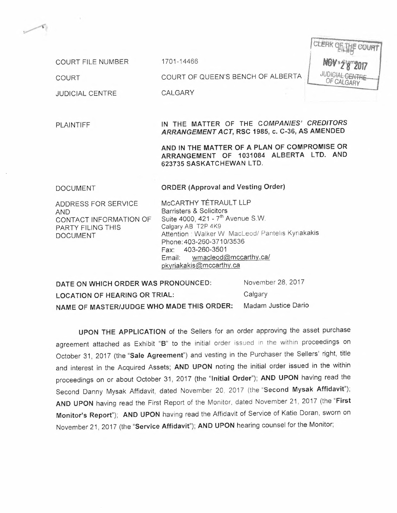COURT FILE NUMBER 1701-14466

CLERK OF THE COURT **NGV s2 8 2017** OF CALGARY

COURT COURT OF QUEEN'S BENCH OF ALBERTA

 $\begin{picture}(20,20) \put(0,0){\line(1,0){10}} \put(15,0){\line(1,0){10}} \put(15,0){\line(1,0){10}} \put(15,0){\line(1,0){10}} \put(15,0){\line(1,0){10}} \put(15,0){\line(1,0){10}} \put(15,0){\line(1,0){10}} \put(15,0){\line(1,0){10}} \put(15,0){\line(1,0){10}} \put(15,0){\line(1,0){10}} \put(15,0){\line(1,0){10}} \put(15,0){\line(1$ 

JUDICIAL CENTRE CALGARY

#### PLAINTIFF IN THE MATTER OF THE *COMPANIES' CREDITORS ARRANGEMENT ACT,* RSC 1985, c. C-36, AS AMENDED

AND IN THE MATTER OF A PLAN OF COMPROMISE OR ARRANGEMENT OF 1031084 ALBERTA LTD. AND 623735 SASKATCHEWAN LTD.

#### DOCUMENT **ORDER** (Approval and Vesting Order)

ADDRESS FOR SERVICE AND CONTACT INFORMATION OF PARTY FILING THIS DOCUMENT

McCARTHY TÉTRAULT LLP Barristers & Solicitors Suite 4000, 421 -  $7<sup>th</sup>$  Avenue S.W. Calgary AB T2P 4K9 Attention: Walker W MacLeod/ Pantelis Kyriakakis Phone: 403-260-371 0/3536 Fax: 403-260-3501 Email: [wmacleod@mccarthy.ca/](mailto:wmacleod@mccarthy.ca/) [pkyriakakis@mccarthy.ca](mailto:pkyriakakis@mccarthy.ca)

DATE ON WHICH ORDER WAS PRONOUNCED: LOCATION OF HEARING OR TRIAL: NAME OF MASTERIJUDGE WHO MADE THIS ORDER: November 28, 2017 Calgary Madam Justice Dario

UPON THE APPLICATION of the Sellers for an order approving the asset purchase agreement attached as Exhibit "B" to the initial order issued in the within proceedings on October 31, 2017 (the "Sale Agreement") and vesting in the Purchaser the Sellers' right, title and interest in the Acquired Assets; AND UPON noting the initial order issued in the within proceedings on or about October 31, 2017 (the "Initial Order"); AND UPON having read the Second Danny Mysak Affidavit, dated November 20, 2017 (the "Second Mysak Affidavit"); AND UPON having read the First Report of the Monitor, dated November 21, 2017 (the "First Monitor's Report"); AND UPON having read the Affidavit of Service of Katie Doran, sworn on November 21, 2017 (the "Service Affidavit"); AND UPON hearing counsel for the Monitor;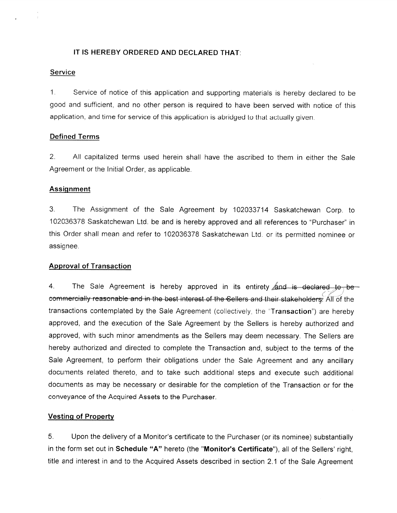#### IT IS HEREBY ORDERED AND DECLARED THAT:

#### Service

 $1<sup>1</sup>$ Service of notice of this application and supporting materials is hereby declared to be good and sufficient, and no other person is required to have been served with notice of this application, and time for service of this application is abridged to that actually given.

#### **Defined Terms**

 $2<sub>1</sub>$ All capitalized terms used herein shall have the ascribed to them in either the Sale Agreement or the Initial Order, as applicable.

#### **Assignment**

 $3<sub>1</sub>$ The Assignment of the Sale Agreement by 102033714 Saskatchewan Corp. to 102036378 Saskatchewan Ltd. be and is hereby approved and all references to "Purchaser" in this Order shall mean and refer to 102036378 Saskatchewan Ltd. or its permitted nominee or assignee.

#### **Approval of Transaction**

 $4<sub>1</sub>$ The Sale Agreement is hereby approved in its entirety and is declared to be commercially reasonable and in the best interest of the Sellers and their stakeholders. All of the transactions contemplated by the Sale Agreement (collectively, the "Transaction") are hereby approved, and the execution of the Sale Agreement by the Sellers is hereby authorized and approved, with such minor amendments as the Sellers may deem necessary. The Sellers are hereby authorized and directed to complete the Transaction and, subject to the terms of the Sale Agreement, to perform their obligations under the Sale Agreement and any ancillary documents related thereto, and to take such additional steps and execute such additional documents as may be necessary or desirable for the completion of the Transaction or for the conveyance of the Acquired Assets to the Purchaser.

#### **Vesting of Property**

Upon the delivery of a Monitor's certificate to the Purchaser (or its nominee) substantially 5. in the form set out in Schedule "A" hereto (the "Monitor's Certificate"), all of the Sellers' right, title and interest in and to the Acquired Assets described in section 2.1 of the Sale Agreement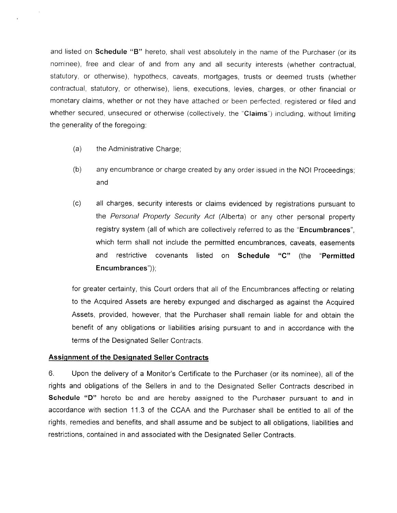and listed on Schedule "B" hereto, shall vest absolutely in the name of the Purchaser (or its nominee), free and clear of and from any and all security interests (whether contractual, statutory, or otherwise), hypothecs, caveats, mortgages, trusts or deemed trusts (whether contractual, statutory, or otherwise), liens, executions, levies, charges, or other financial or monetary claims, whether or not they have attached or been perfected, registered or filed and whether secured, unsecured or otherwise (collectively, the "Claims") including, without limiting the generality of the foregoing:

- $(a)$ the Administrative Charge;
- $(b)$ any encumbrance or charge created by any order issued in the NOI Proceedings; and
- $(c)$ all charges, security interests or claims evidenced by registrations pursuant to the Personal Property Security Act (Alberta) or any other personal property registry system (all of which are collectively referred to as the "Encumbrances". which term shall not include the permitted encumbrances, caveats, easements and restrictive covenants listed on Schedule "C" (the "Permitted Encumbrances"));

for greater certainty, this Court orders that all of the Encumbrances affecting or relating to the Acquired Assets are hereby expunged and discharged as against the Acquired Assets, provided, however, that the Purchaser shall remain liable for and obtain the benefit of any obligations or liabilities arising pursuant to and in accordance with the terms of the Designated Seller Contracts.

#### **Assignment of the Designated Seller Contracts**

 $6.$ Upon the delivery of a Monitor's Certificate to the Purchaser (or its nominee), all of the rights and obligations of the Sellers in and to the Designated Seller Contracts described in Schedule "D" hereto be and are hereby assigned to the Purchaser pursuant to and in accordance with section 11.3 of the CCAA and the Purchaser shall be entitled to all of the rights, remedies and benefits, and shall assume and be subject to all obligations, liabilities and restrictions, contained in and associated with the Designated Seller Contracts.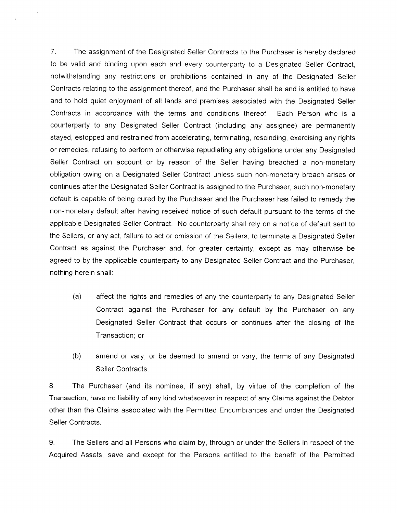$7<sup>1</sup>$ The assignment of the Designated Seller Contracts to the Purchaser is hereby declared to be valid and binding upon each and every counterparty to a Designated Seller Contract, notwithstanding any restrictions or prohibitions contained in any of the Designated Seller Contracts relating to the assignment thereof, and the Purchaser shall be and is entitled to have and to hold quiet enjoyment of all lands and premises associated with the Designated Seller Contracts in accordance with the terms and conditions thereof. Each Person who is a counterparty to any Designated Seller Contract (including any assignee) are permanently stayed, estopped and restrained from accelerating, terminating, rescinding, exercising any rights or remedies, refusing to perform or otherwise repudiating any obligations under any Designated Seller Contract on account or by reason of the Seller having breached a non-monetary obligation owing on a Designated Seller Contract unless such non-monetary breach arises or continues after the Designated Seller Contract is assigned to the Purchaser, such non-monetary default is capable of being cured by the Purchaser and the Purchaser has failed to remedy the non-monetary default after having received notice of such default pursuant to the terms of the applicable Designated Seller Contract. No counterparty shall rely on a notice of default sent to the Sellers, or any act, failure to act or omission of the Sellers, to terminate a Designated Seller Contract as against the Purchaser and, for greater certainty, except as may otherwise be agreed to by the applicable counterparty to any Designated Seller Contract and the Purchaser, nothing herein shall:

- $(a)$ affect the rights and remedies of any the counterparty to any Designated Seller Contract against the Purchaser for any default by the Purchaser on any Designated Seller Contract that occurs or continues after the closing of the Transaction; or
- $(b)$ amend or vary, or be deemed to amend or vary, the terms of any Designated Seller Contracts.

8. The Purchaser (and its nominee, if any) shall, by virtue of the completion of the Transaction, have no liability of any kind whatsoever in respect of any Claims against the Debtor other than the Claims associated with the Permitted Encumbrances and under the Designated Seller Contracts.

9. The Sellers and all Persons who claim by, through or under the Sellers in respect of the Acquired Assets, save and except for the Persons entitled to the benefit of the Permitted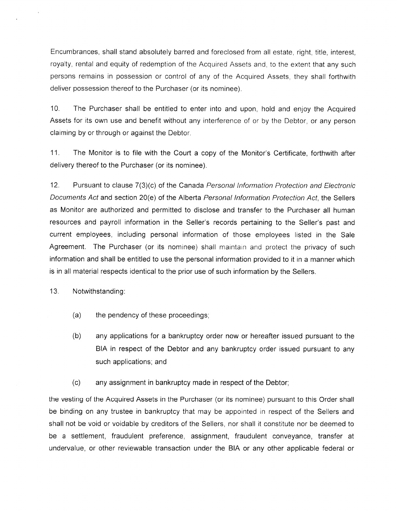Encumbrances, shall stand absolutely barred and foreclosed from all estate, right, title, interest, royalty, rental and equity of redemption of the Acquired Assets and, to the extent that any such persons remains in possession or control of any of the Acquired Assets, they shall forthwith deliver possession thereof to the Purchaser (or its nominee).

 $10<sub>1</sub>$ The Purchaser shall be entitled to enter into and upon, hold and enjoy the Acquired Assets for its own use and benefit without any interference of or by the Debtor, or any person claiming by or through or against the Debtor.

 $11<sub>1</sub>$ The Monitor is to file with the Court a copy of the Monitor's Certificate, forthwith after delivery thereof to the Purchaser (or its nominee).

 $12.$ Pursuant to clause 7(3)(c) of the Canada Personal Information Protection and Electronic Documents Act and section 20(e) of the Alberta Personal Information Protection Act, the Sellers as Monitor are authorized and permitted to disclose and transfer to the Purchaser all human resources and payroll information in the Seller's records pertaining to the Seller's past and current employees, including personal information of those employees listed in the Sale Agreement. The Purchaser (or its nominee) shall maintain and protect the privacy of such information and shall be entitled to use the personal information provided to it in a manner which is in all material respects identical to the prior use of such information by the Sellers.

 $13.$ Notwithstanding:

- the pendency of these proceedings;  $(a)$
- $(b)$ any applications for a bankruptcy order now or hereafter issued pursuant to the BIA in respect of the Debtor and any bankruptcy order issued pursuant to any such applications; and
- $(c)$ any assignment in bankruptcy made in respect of the Debtor;

the vesting of the Acquired Assets in the Purchaser (or its nominee) pursuant to this Order shall be binding on any trustee in bankruptcy that may be appointed in respect of the Sellers and shall not be void or voidable by creditors of the Sellers, nor shall it constitute nor be deemed to be a settlement, fraudulent preference, assignment, fraudulent conveyance, transfer at undervalue, or other reviewable transaction under the BIA or any other applicable federal or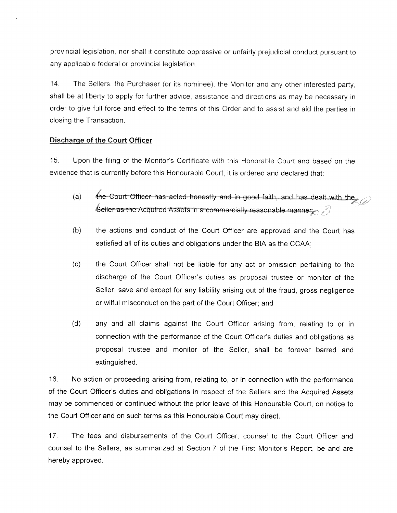provincial legislation, nor shall it constitute oppressive or unfairly prejudicial conduct pursuant to any applicable federal or provincial legislation.

 $14$ The Sellers, the Purchaser (or its nominee), the Monitor and any other interested party, shall be at liberty to apply for further advice, assistance and directions as may be necessary in order to give full force and effect to the terms of this Order and to assist and aid the parties in closing the Transaction.

#### Discharge of the Court Officer

 $15.$ Upon the filing of the Monitor's Certificate with this Honorable Court and based on the evidence that is currently before this Honourable Court, it is ordered and declared that:

- the Court Officer has acted honestly and in good faith, and has dealt with the  $(a)$  $\epsilon$ eller as the Acquired Assets in a commercially reasonable manner  $\oslash$
- the actions and conduct of the Court Officer are approved and the Court has  $(b)$ satisfied all of its duties and obligations under the BIA as the CCAA;
- the Court Officer shall not be liable for any act or omission pertaining to the  $(c)$ discharge of the Court Officer's duties as proposal trustee or monitor of the Seller, save and except for any liability arising out of the fraud, gross negligence or wilful misconduct on the part of the Court Officer; and
- $(d)$ any and all claims against the Court Officer arising from, relating to or in connection with the performance of the Court Officer's duties and obligations as proposal trustee and monitor of the Seller, shall be forever barred and extinguished.

 $16.$ No action or proceeding arising from, relating to, or in connection with the performance of the Court Officer's duties and obligations in respect of the Sellers and the Acquired Assets may be commenced or continued without the prior leave of this Honourable Court, on notice to the Court Officer and on such terms as this Honourable Court may direct.

 $17.$ The fees and disbursements of the Court Officer, counsel to the Court Officer and counsel to the Sellers, as summarized at Section 7 of the First Monitor's Report, be and are hereby approved.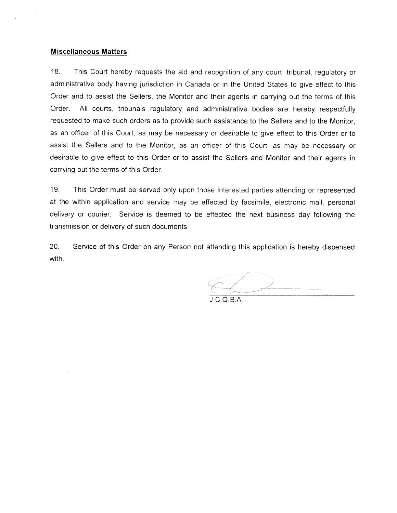#### **Miscellaneous Matters**

 $18.$ This Court hereby requests the aid and recognition of any court, tribunal, regulatory or administrative body having jurisdiction in Canada or in the United States to give effect to this Order and to assist the Sellers, the Monitor and their agents in carrying out the terms of this Order. All courts, tribunals regulatory and administrative bodies are hereby respectfully requested to make such orders as to provide such assistance to the Sellers and to the Monitor, as an officer of this Court, as may be necessary or desirable to give effect to this Order or to assist the Sellers and to the Monitor, as an officer of this Court, as may be necessary or desirable to give effect to this Order or to assist the Sellers and Monitor and their agents in carrying out the terms of this Order.

19. This Order must be served only upon those interested parties attending or represented at the within application and service may be effected by facsimile, electronic mail, personal delivery or courier. Service is deemed to be effected the next business day following the transmission or delivery of such documents.

 $20.$ Service of this Order on any Person not attending this application is hereby dispensed with.

 $J.C.O.B.A.$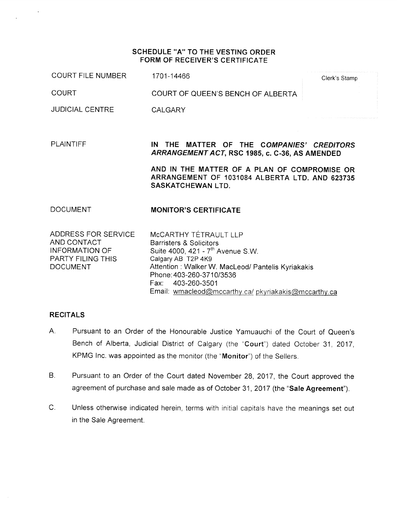#### SCHEDULE "A" TO THE VESTING ORDER **FORM OF RECEIVER'S CERTIFICATE**

**COURT FILE NUMBER** 1701-14466

Clerk's Stamp

**COURT** COURT OF QUEEN'S BENCH OF ALBERTA

**JUDICIAL CENTRE CALGARY** 

**PLAINTIFF** IN THE MATTER OF THE COMPANIES' CREDITORS ARRANGEMENT ACT, RSC 1985, c. C-36, AS AMENDED

> AND IN THE MATTER OF A PLAN OF COMPROMISE OR ARRANGEMENT OF 1031084 ALBERTA LTD. AND 623735 **SASKATCHEWAN LTD.**

#### **DOCUMENT MONITOR'S CERTIFICATE**

ADDRESS FOR SERVICE AND CONTACT **INFORMATION OF PARTY FILING THIS DOCUMENT** 

McCARTHY TÉTRAULT LLP **Barristers & Solicitors** Suite 4000, 421 - 7<sup>th</sup> Avenue S.W. Calgary AB T2P 4K9 Attention: Walker W. MacLeod/ Pantelis Kyriakakis Phone: 403-260-3710/3536 403-260-3501 Fax: Email: wmacleod@mccarthy.ca/ pkyriakakis@mccarthy.ca

#### **RECITALS**

- $A_{n}$ Pursuant to an Order of the Honourable Justice Yamuauchi of the Court of Queen's Bench of Alberta, Judicial District of Calgary (the "Court") dated October 31, 2017. KPMG Inc. was appointed as the monitor (the "Monitor") of the Sellers.
- $B<sub>1</sub>$ Pursuant to an Order of the Court dated November 28, 2017, the Court approved the agreement of purchase and sale made as of October 31, 2017 (the "Sale Agreement").
- $C_{\cdot}$ Unless otherwise indicated herein, terms with initial capitals have the meanings set out in the Sale Agreement.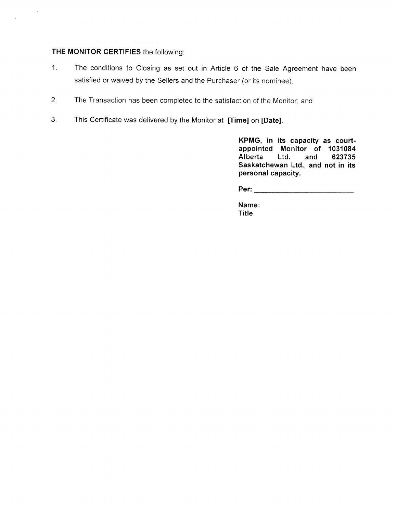### THE MONITOR CERTIFIES the following:

 $\sim 40$ 

 $\mathcal{L}$ 

- The conditions to Closing as set out in Article 6 of the Sale Agreement have been  $1.$ satisfied or waived by the Sellers and the Purchaser (or its nominee);
- $2.$ The Transaction has been completed to the satisfaction of the Monitor; and
- This Certificate was delivered by the Monitor at [Time] on [Date].  $3<sub>1</sub>$

KPMG, in its capacity as courtappointed Monitor of 1031084 Alberta Ltd. 623735 and Saskatchewan Ltd., and not in its personal capacity.

Name: **Title**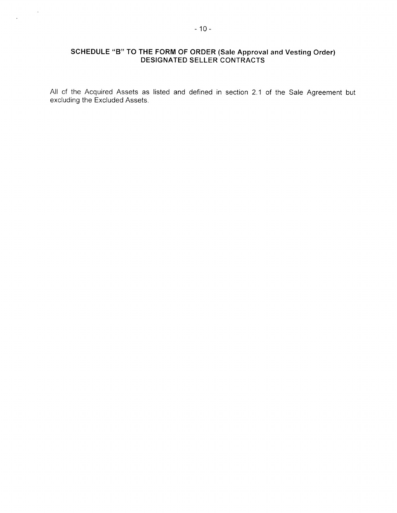# SCHEDULE "B" TO THE FORM OF ORDER (Sale Approval and Vesting Order)<br>DESIGNATED SELLER CONTRACTS

All of the Acquired Assets as listed and defined in section 2.1 of the Sale Agreement but excluding the Excluded Assets.

 $\sim 100$ 

 $\mathbf{r}$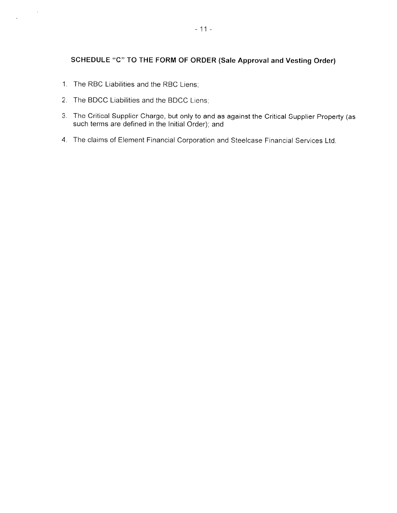### SCHEDULE "C" TO THE FORM OF ORDER (Sale Approval and Vesting Order)

1. The RBC Liabilities and the RBC Liens;

 $\label{eq:3.1} \mathcal{C} = \mathcal{C} \mathcal{C}$ 

 $\mathbf{v}$ 

- 2. The BDCC Liabilities and the BDCC Liens;
- 3. The Critical Supplier Charge, but only to and as against the Critical Supplier Property (as such terms are defined in the Initial Order); and
- 4. The claims of Element Financial Corporation and Steelcase Financial Services Ltd.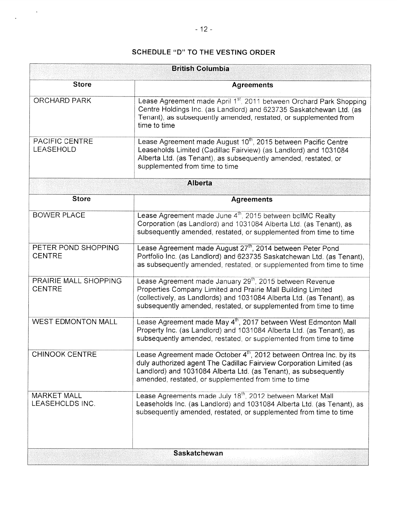## **SCHEDULE "D" TO THE VESTING ORDER**

| <b>British Columbia</b>                |                                                                                                                                                                                                                                                                                    |
|----------------------------------------|------------------------------------------------------------------------------------------------------------------------------------------------------------------------------------------------------------------------------------------------------------------------------------|
| <b>Store</b>                           | <b>Agreements</b>                                                                                                                                                                                                                                                                  |
| <b>ORCHARD PARK</b>                    | Lease Agreement made April 1st, 2011 between Orchard Park Shopping<br>Centre Holdings Inc. (as Landlord) and 623735 Saskatchewan Ltd. (as<br>Tenant), as subsequently amended, restated, or supplemented from<br>time to time                                                      |
| PACIFIC CENTRE<br><b>LEASEHOLD</b>     | Lease Agreement made August 10 <sup>th</sup> , 2015 between Pacific Centre<br>Leaseholds Limited (Cadillac Fairview) (as Landlord) and 1031084<br>Alberta Ltd. (as Tenant), as subsequently amended, restated, or<br>supplemented from time to time                                |
| <b>Alberta</b>                         |                                                                                                                                                                                                                                                                                    |
| <b>Store</b>                           | <b>Agreements</b>                                                                                                                                                                                                                                                                  |
| <b>BOWER PLACE</b>                     | Lease Agreement made June 4 <sup>th</sup> , 2015 between bcIMC Realty<br>Corporation (as Landlord) and 1031084 Alberta Ltd. (as Tenant), as<br>subsequently amended, restated, or supplemented from time to time                                                                   |
| PETER POND SHOPPING<br><b>CENTRE</b>   | Lease Agreement made August 27 <sup>th</sup> , 2014 between Peter Pond<br>Portfolio Inc. (as Landlord) and 623735 Saskatchewan Ltd. (as Tenant),<br>as subsequently amended, restated, or supplemented from time to time                                                           |
| PRAIRIE MALL SHOPPING<br><b>CENTRE</b> | Lease Agreement made January 29 <sup>th</sup> , 2015 between Revenue<br>Properties Company Limited and Prairie Mall Building Limited<br>(collectively, as Landlords) and 1031084 Alberta Ltd. (as Tenant), as<br>subsequently amended, restated, or supplemented from time to time |
| <b>WEST EDMONTON MALL</b>              | Lease Agreement made May 4 <sup>th</sup> , 2017 between West Edmonton Mall<br>Property Inc. (as Landlord) and 1031084 Alberta Ltd. (as Tenant), as<br>subsequently amended, restated, or supplemented from time to time                                                            |
| <b>CHINOOK CENTRE</b>                  | Lease Agreement made October $4^{\text{th}}$ , 2012 between Ontrea Inc. by its<br>duly authorized agent The Cadillac Fairview Corporation Limited (as<br>Landlord) and 1031084 Alberta Ltd. (as Tenant), as subsequently<br>amended, restated, or supplemented from time to time   |
| <b>MARKET MALL</b><br>LEASEHOLDS INC.  | Lease Agreements made July 18 <sup>th</sup> , 2012 between Market Mall<br>Leaseholds Inc. (as Landlord) and 1031084 Alberta Ltd. (as Tenant), as<br>subsequently amended, restated, or supplemented from time to time                                                              |
|                                        | <b>Saskatchewan</b>                                                                                                                                                                                                                                                                |

 $\label{eq:2} \frac{1}{2} \int_{0}^{2\pi} \frac{1}{\sqrt{2}} \, \mathrm{d} \theta \, \mathrm{d} \theta \, \mathrm{d} \theta \, \mathrm{d} \theta \, \mathrm{d} \theta \, \mathrm{d} \theta \, \mathrm{d} \theta \, \mathrm{d} \theta \, \mathrm{d} \theta \, \mathrm{d} \theta \, \mathrm{d} \theta \, \mathrm{d} \theta \, \mathrm{d} \theta \, \mathrm{d} \theta \, \mathrm{d} \theta \, \mathrm{d} \theta \, \mathrm{d} \theta \, \mathrm{d} \theta \, \mathrm{d} \theta \, \mathrm{d} \theta \, \mathrm{d$ 

 $\Delta$